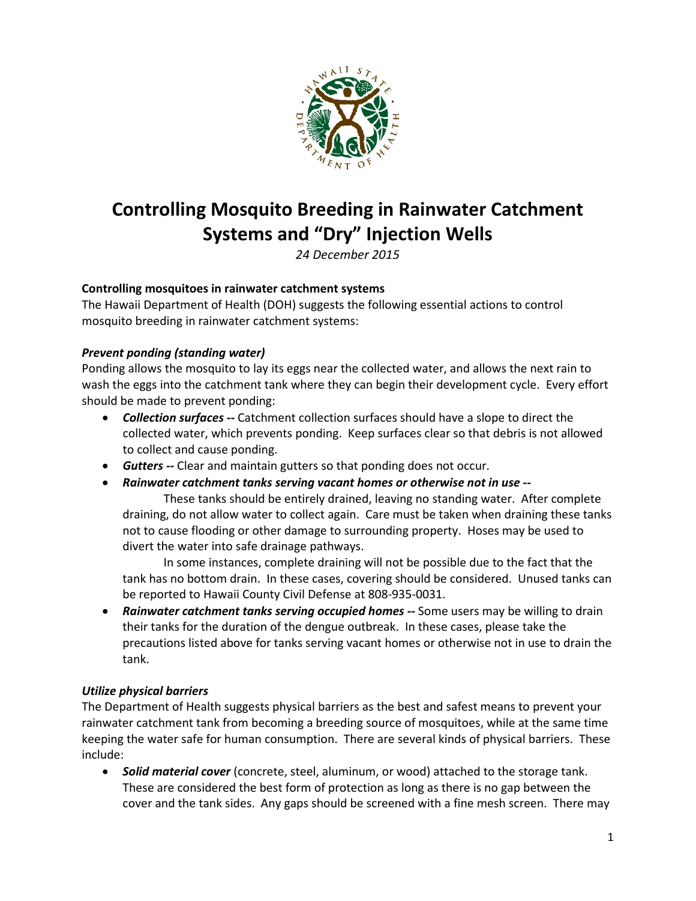

# **Controlling Mosquito Breeding in Rainwater Catchment Systems and "Dry" Injection Wells**

*24 December 2015*

## **Controlling mosquitoes in rainwater catchment systems**

The Hawaii Department of Health (DOH) suggests the following essential actions to control mosquito breeding in rainwater catchment systems:

## *Prevent ponding (standing water)*

Ponding allows the mosquito to lay its eggs near the collected water, and allows the next rain to wash the eggs into the catchment tank where they can begin their development cycle. Every effort should be made to prevent ponding:

- *Collection surfaces --* Catchment collection surfaces should have a slope to direct the collected water, which prevents ponding. Keep surfaces clear so that debris is not allowed to collect and cause ponding.
- *Gutters --* Clear and maintain gutters so that ponding does not occur.
- *Rainwater catchment tanks serving vacant homes or otherwise not in use --*

These tanks should be entirely drained, leaving no standing water. After complete draining, do not allow water to collect again. Care must be taken when draining these tanks not to cause flooding or other damage to surrounding property. Hoses may be used to divert the water into safe drainage pathways.

In some instances, complete draining will not be possible due to the fact that the tank has no bottom drain. In these cases, covering should be considered. Unused tanks can be reported to Hawaii County Civil Defense at 808-935-0031.

• *Rainwater catchment tanks serving occupied homes --* Some users may be willing to drain their tanks for the duration of the dengue outbreak. In these cases, please take the precautions listed above for tanks serving vacant homes or otherwise not in use to drain the tank.

#### *Utilize physical barriers*

The Department of Health suggests physical barriers as the best and safest means to prevent your rainwater catchment tank from becoming a breeding source of mosquitoes, while at the same time keeping the water safe for human consumption. There are several kinds of physical barriers. These include:

• *Solid material cover* (concrete, steel, aluminum, or wood) attached to the storage tank. These are considered the best form of protection as long as there is no gap between the cover and the tank sides. Any gaps should be screened with a fine mesh screen. There may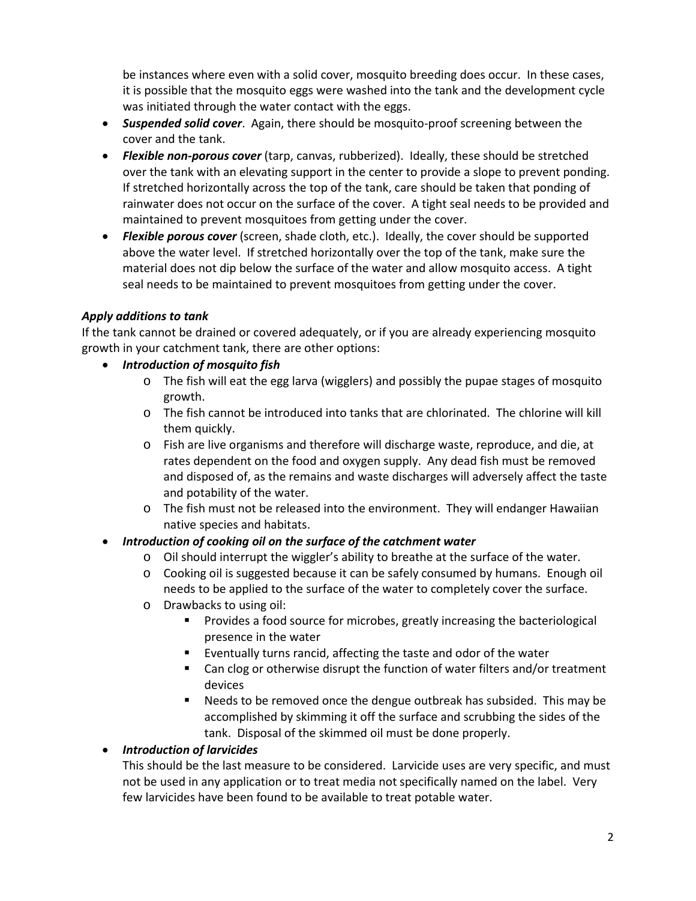be instances where even with a solid cover, mosquito breeding does occur. In these cases, it is possible that the mosquito eggs were washed into the tank and the development cycle was initiated through the water contact with the eggs.

- *Suspended solid cover*. Again, there should be mosquito-proof screening between the cover and the tank.
- *Flexible non-porous cover* (tarp, canvas, rubberized). Ideally, these should be stretched over the tank with an elevating support in the center to provide a slope to prevent ponding. If stretched horizontally across the top of the tank, care should be taken that ponding of rainwater does not occur on the surface of the cover. A tight seal needs to be provided and maintained to prevent mosquitoes from getting under the cover.
- *Flexible porous cover* (screen, shade cloth, etc.). Ideally, the cover should be supported above the water level. If stretched horizontally over the top of the tank, make sure the material does not dip below the surface of the water and allow mosquito access. A tight seal needs to be maintained to prevent mosquitoes from getting under the cover.

## *Apply additions to tank*

If the tank cannot be drained or covered adequately, or if you are already experiencing mosquito growth in your catchment tank, there are other options:

- *Introduction of mosquito fish*
	- o The fish will eat the egg larva (wigglers) and possibly the pupae stages of mosquito growth.
	- o The fish cannot be introduced into tanks that are chlorinated. The chlorine will kill them quickly.
	- o Fish are live organisms and therefore will discharge waste, reproduce, and die, at rates dependent on the food and oxygen supply. Any dead fish must be removed and disposed of, as the remains and waste discharges will adversely affect the taste and potability of the water.
	- o The fish must not be released into the environment. They will endanger Hawaiian native species and habitats.
- *Introduction of cooking oil on the surface of the catchment water*
	- o Oil should interrupt the wiggler's ability to breathe at the surface of the water.
	- o Cooking oil is suggested because it can be safely consumed by humans. Enough oil needs to be applied to the surface of the water to completely cover the surface.
	- o Drawbacks to using oil:
		- **Provides a food source for microbes, greatly increasing the bacteriological** presence in the water
		- Eventually turns rancid, affecting the taste and odor of the water
		- Can clog or otherwise disrupt the function of water filters and/or treatment devices
		- Needs to be removed once the dengue outbreak has subsided. This may be accomplished by skimming it off the surface and scrubbing the sides of the tank. Disposal of the skimmed oil must be done properly.

# • *Introduction of larvicides*

This should be the last measure to be considered. Larvicide uses are very specific, and must not be used in any application or to treat media not specifically named on the label. Very few larvicides have been found to be available to treat potable water.